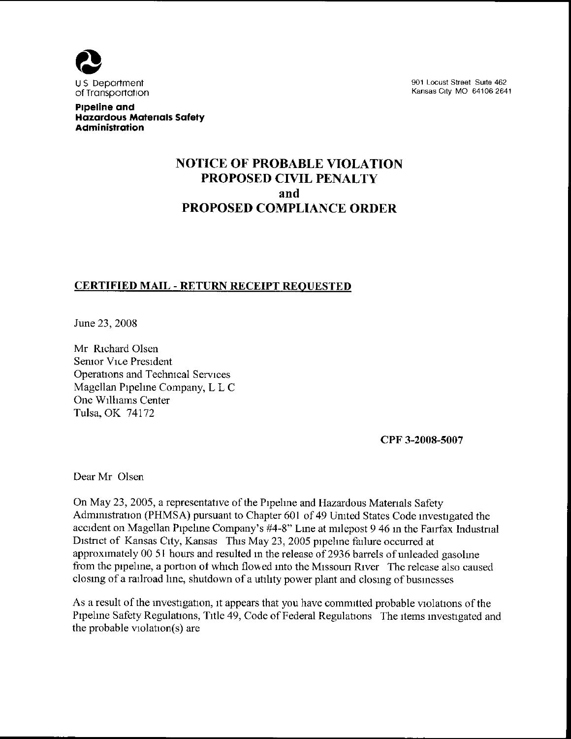

90t Locust Street Suite 462 Kansas City MO 64106 2641

Pipeline and Hazardous Matenals Safety **Administration** 

# NOTICE OF PROBABLE VIOLATION PROPOSED CIVIL PENALTV and PROPOSED COMPLIANCE ORDER

# CERTIFIED MAIL - RETURN RECEIPT REOUESTED

June 23, 2008

Mr Rtchard Olsen Senior Vice President Operations and Technical Services Magellan Pipehne Company, L L C One Williams Center Tulsa, OK 74172

CPF 3-2008-5007

Dear Mr Olsen

On May 23, 2005, a representative of the Pipehne and Hazardous Matenals Safety Administration (PHMSA) pursuant to Chapter 601 of 49 United States Code investigated the accident on Magellan Pipeline Company's #4-8" Line at milepost 9 46 in the Fairfax Industrial District of Kansas City, Kansas This May 23, 2005 pipehne failure occurred at approximately 00 51 hours and resulted in the release of 2936 barrels of unleaded gasohne from the pipeline, a portion of which flowed into the Missouri River The release also caused closing of a railroad hne, shutdown of a utihty power plant and closing of businesses

As a result of the investigation, it appears that you have committed probable violations of the Pipeline Safety Regulations, Title 49, Code of Federal Regulations The items investigated and the probable violation(s) are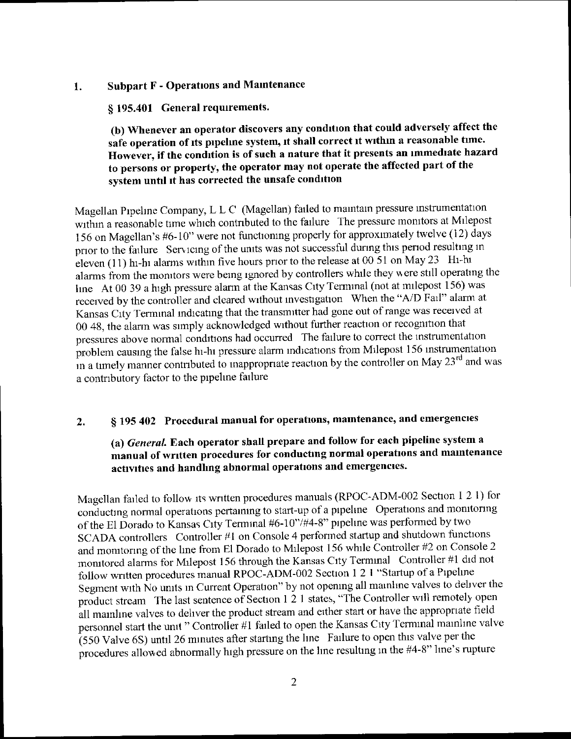### 1. Subpart F - Operations and Mamtenance

## § 195.401 General requirements.

## (b) Whenever an operator discovers any condition that could adversely affect the safe operation of its pipehne system, it shall correct it within a reasonable time. However, if the condition is of such a nature that it presents an immediate hazard to persons or property, the operator may not operate the affected part of the system until it has corrected the unsafe condition

Magellan Pipelme Company, L L C (Magellan) failed to maintam pressure instrumentation within a reasonable time which contributed to the failure The pressure monitors at Milepost 156 on Magellan's #6-10" were not functioning properly for approximately twelve (12) days prior to the failure Servicing of the units was not successful during this period resulting in eleven (11) hi-hi alarms withm five hours prior to the release at 00 51 on May 23 Hi-hi alarms from the momtors were bemg ignored by controllers whde they were still operatmg the line At 00 39 a high pressure alarm at the Kansas City Terminal (not at milepost 156) was received by the controller and cleared without investigation When the "A/D Fail" alarm at Kansas City Terminal indicating that the transmitter had gone out of range was received at 00 48, the alarm was simply acknowledged without further reaction or recognition that pressures above normal conditions had occurred The failure to correct the instrumentation problem causing the false hi-hi pressure alarm indications from Milepost 156 instrumentation in a timely manner contributed to inappropriate reaction by the controller on May  $23<sup>rd</sup>$  and was a contributory factor to the pipehne failure

# 2. § 195 402 Procedural manual for operations, maintenance, and emergencies

# (a) General. Each operator shall prepare and follow for each pipeline system <sup>a</sup> manual of wntten procedures for conducting normal operations and maintenance activities and handhng abnormal operations and emergencies.

Magellan failed to follow its written procedures manuals (RPOC-ADM-002 Section 1 2 1) for conductmg normal operations pertaining to start-up of a pipehne Operations and monitoring of the El Dorado to Kansas City Terminal  $#6-10$ "/ $#4-8$ " pipeline was performed by two SCADA controllers Controller  $#1$  on Console 4 performed startup and shutdown functions and monitoring of the line from El Dorado to Milepost 156 while Controller #2 on Console 2 monitored alarms for Milepost 156 through the Kansas City Terminal Controller #1 did not follow written procedures manual RPOC-ADM-002 Section 1 2 I "Startup of a Pipeline Segment with No units m Current Operation" by not opening all mamhne valves to deliver the product stream The last sentence of Section 1 2 1 states, "The Controller will remotely open all mainline valves to deliver the product stream and either start or have the appropriate field personnel start the umt " Controller #1 failed to open the Kansas City Terminal mainline valve (550 Valve 6S) until 26 mmutes after starting the hne Failure to open this valve per the procedures allowed abnormally high pressure on the line resulting in the #4-8" line's rupture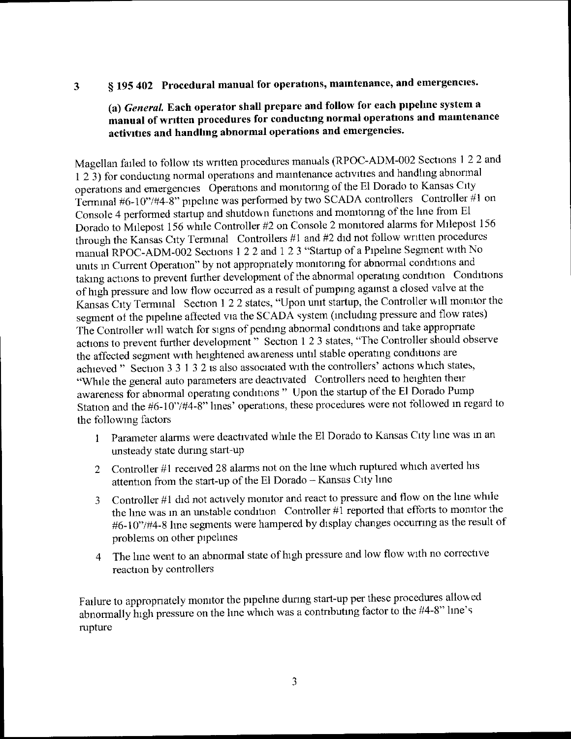# 3 § 195 402 Procedural manual for operations, maintenance, and emergencies.

# (a) General. Each operator shall prepare and follow for each pipehne system <sup>a</sup> manual of written procedures for conducting normal operations and maintenance activities and handhng abnormal operations and emergencies.

Magellan failed to follow its written procedures manuals (RPOC-ADM-002 Sections 1 2 2 and <sup>1</sup>2 3) for conducting normal operations and maintenance activities and handhng abnormal operations and emergencies Operations and monitonng of the El Dorado to Kansas City Terminal #6-10"/#4-8" pipeline was performed by two SCADA controllers Controller #1 on Console 4 performed startup and shutdown functions and monitoring of the line from El Dorado to Milepost 156 while Controller #2 on Console 2 monitored alarms for Milepost 156 through the Kansas City Terminal Controllers #1 and #2 did not follow written procedures manual RPOC-ADM-002 Sections 1 2 2 and 1 2 3 "Startup of a Pipelme Segment with No units in Current Operation" by not appropnately monitonng for abnormal conditions and taking actions to prevent further development of the abnormal operating condition Conditions of high pressure and low flow occurred as a result of pumpmg agamst a closed valve at the Kansas City Termmal Section 1 2 2 states, "Upon unit startup, the Controller will monitor the segment of the pipeline affected via the SCADA system (including pressure and flow rates) The Controller will watch for signs of pending abnormal conditions and take appropriate actions to prevent further development" Section 1 2 3 states, "The Controller should observe the affected segment with heightened awareness until stable operating conditions are achieved" Section 3 3 1 3 2 is also associated with the controllers' actions which states, "While the general auto parameters are deactivated Controllers need to heighten their awareness for abnormal operating conditions " Upon the startup of the El Dorado Pump Station and the #6-10"/#4-8" lines' operations, these procedures were not followed in regard to the following factors

- <sup>1</sup>Parameter alarms were deactivated while the El Dorado to Kansas City hne was in an unsteady state dunng start-up
- 2 Controller #1 received 28 alarms not on the line which ruptured which averted his attention from the start-up of the El Dorado - Kansas City line
- 3 Controller #1 did not actively monitor and react to pressure and flow on the line while the line was in an unstable condition Controller  $\#\hat{1}$  reported that efforts to monitor the #6-10"/#4-8 line segments were hampered by display changes occurring as the result of problems on other pipelines
- 4 The line went to an abnormal state of high pressure and low flow with no corrective reaction by controllers

Failure to appropnately monitor the pipehne during start-up per these procedures allowed abnormally high pressure on the line which was a contributing factor to the #4-8" line's rupture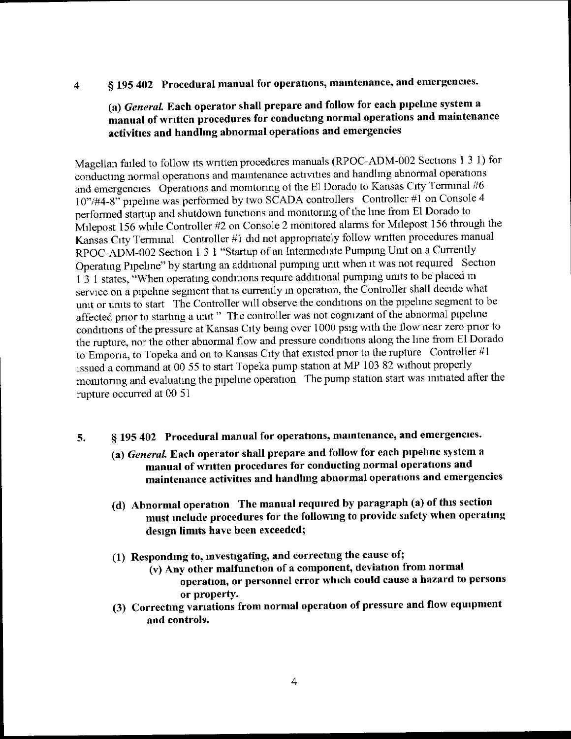# 4 § 195 402 Procedural manual for operations, maintenance, and emergencies.

# (a) General. Each operator shall prepare and follow for each pipeline system a manual of wntten procedures for conducting normal operations and maintenance activities and handhng abnormal operations and emergencies

Magellan failed to follow its wntten procedures manuals (RPOC-ADM-002 Sections I 3 I) for conductmg normal operations and maintenance activities and handhng abnormal operations and emergencies Operations and monitoring of the El Dorado to Kansas City Terminal #6-10"/#4-8" pipeline was performed by two SCADA controllers Controller #1 on Console 4 performed startup and shutdown functions and monitoring of the line from El Dorado to Milepost 156 while Controller  $#2$  on Console 2 monitored alarms for Milepost 156 through the Kansas City Terminal Controller #1 did not appropriately follow written procedures manual RPOC-ADM-002 Section 1 3 I "Startup of an Intermediate Pumping Unit on a Currently Operating Pipelme" by starting an additional pumping unit when it was not required Section <sup>I</sup>3 1 states, "When operatmg conditions require additional pumping units to be placed <sup>m</sup> service on a pipeline segment that is currently in operation, the Controller shall decide what umt or umts to start The Controller will observe the conditions on the pipehne segment to be affected pnor to startmg a umt" The controller was not cognizant of the abnormal pipehne conditions of the pressure at Kansas City being over 1000 psig with the flow near zero prior to the rupture, nor the other abnormal flow and pressure conditions along the lme from El Dorado to Emporia, to Topeka and on to Kansas City that existed prior to the rupture Controller #1 issued a command at 00 55 to start Topeka pump station at MP 103 82 without properly monitoring and evaluating the pipehne operation The pump station start was initiated afler the rupture occurred at 00 51

- § 195 402 Procedural manual for operations, maintenance, and emergencies. 5.
	- (a) General. Each operator shall prepare and follow for each pipeline system a manual of wntten procedures for conducting normal operations and maintenance activities and handlmg abnormal operations and emergencies
	- (d) Abnormal operation The manual required by paragraph (a) of this section must include procedures for the following to provide safety when operating design limits have been exceeded;
	- (1) Responding to, investigating, and correcting the cause of;
		- (v) Any other malfunction of a component, deviation from normal operation, or personnel error which could cause a hazard to persons or property.
	- (3) Correcting vanations from normal operahon of pressure and flow equipment and controls.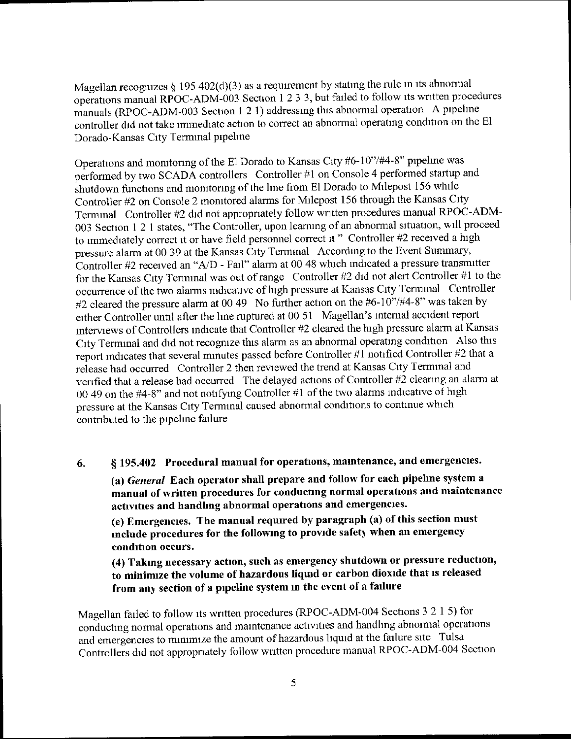Magellan recognizes  $\S$  195 402(d)(3) as a requirement by stating the rule in its abnormal operations manual RPOC-ADM-003 Section 1 2 3 3, but failed to follow its wntten procedures manuals (RPOC-ADM-003 Section 1 2 1) addressing this abnormal operation A pipehne controller did not take immediate action to correct an abnormal operatmg condition on thc El Dorado-Kansas City Terminal pipelme

Operations and monitoring of the El Dorado to Kansas City #6-10"/#4-8" pipeline was performed by two SCADA controllers Controller #1 on Console 4 performed startup and shutdown functions and monitonng of the hne from El Dorado to Milepost 156 while Controller #2 on Console 2 monitored alarms for Milepost 156 through the Kansas City Terminal Controller #2 did not appropriately follow written procedures manual RPOC-ADM-003 Section 1 2 1 states, "The Controller, upon learning of an abnormal situation, will proceed to immediately correct it or have field personnel correct it" Controller #2 received a high pressure alarm at 00 39 at the Kansas City Termmal According to the Event Summary, Controller #2 received an "A/D - Fail" alarm at 00 48 which indicated a pressure transmitter for the Kansas City Terminal was out of range Controller #2 did not alert Controller #1 to the occurrence of the two alarms indicative of high pressure at Kansas City Terminal Controller #2 cleared the pressure alarm at 00 49 No further action on the #6-10"/#4-8" was taken by either Controller until after the hne ruptured at 00 51 Magellan's mtemal accident report interviews of Controllers indicate that Controller #2 cleared the high pressure alarm at Kansas City Termmal and did not recogmze this alarm as an abnormal operatmg condition Also this report indicates that several minutes passed before Controller #1 notified Controller #2 that a release had occurred Controller 2 then reviewed the trend at Kansas City Termmal and venfied that a release had occurred The delayed actions of Controller  $#2$  clearing an alarm at 00 49 on the  $#4-8"$  and not notifying Controller  $#1$  of the two alarms indicative of high pressure at the Kansas City Terminal caused abnormal conditions to continue which contnbuted to the pipehne failure

§ 195.402 Procedural manual for operations, maintenance, and emergencies. 6.

(a) General Each operator shall prepare and follow for each pipelme system a manual of written procedures for conducting normal operations and maintenance activities and handhng abnormal operations and emergencies.

(e) Emergencies. The manual required by paragraph (a) of this section must include procedures for the following to provide safety when an emergency condition occurs.

(4) Taking necessary action, such as emergency shutdown or pressure reduction, to mininuze the volume of hazardous liquid or carbon dioxide that is released from any section of a pipeline system in the event of a failure

Magellan failed to follow its wntten procedures (RPOC-ADM-004 Sections 3 2 1 5) for conductmg normal operations and maintenance activities and handhng abnormal operations and emergencies to minimize the amount of hazardous liquid at the failure site Tulsa Controllers did not appropnately follow wntten procedure manual RPOC-ADM-004 Section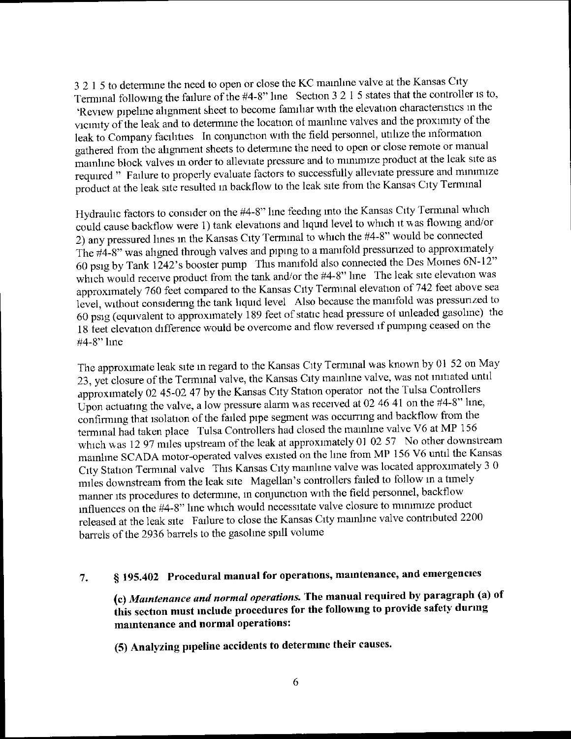<sup>3</sup>2 I 5 to determine the need to open or close the KC mainhne valve at the Kansas City Terminal following the failure of the  $#4-8"$  line Section 3 2 1 5 states that the controller is to, 'Review pipehne ahgnment sheet to become famihar with the elevation charactenstics in the vicinity of the leak and to determine the location of mainline valves and the proximity of the leak to Company facilities In conjunction with the field personnel, utilize the information gathered from the ahgnment sheets to determine the need to open or close remote or manual mamhne block valves in order to alleviate pressure and to minimize product at the leak site as required " Failure to properly evaluate factors to successfully alleviate pressure and minimize product at the leak site resulted in backflow to the leak site from the Kansas City Tenmnal

Hydraulic factors to consider on the #4-8" line feeding into the Kansas City Terminal which could cause backflow were I) tank elevations and liquid level to which it was flowing and/or 2) any pressured lines in the Kansas City Terminal to which the #4-8" would be connected The  $\#4-8$ " was ahgned through valves and piping to a manifold pressurized to approximately <sup>60</sup>psig by Tank 1242's booster pump This manifold also connected the Des Momes 6N-12" which would receive product from the tank and/or the #4-8" line The leak site elevation was approximately 760 feet compared to the Kansas City Termmal elevation of 742 feet above sea level, without considenng the tank hquid level Also because the manifold was pressunzed to 60 psig (equivalent to approximately 189 feet of static head pressure oi unleaded gasoline) the 18 teet elevation difference would be overcome and flow reversed if pumping ceased on the #4-8" hne

The approximate leak site in regard to the Kansas City Terminal was known by 01 52 on May 23, yet closure of the Terminal valve, the Kansas City mainhne valve, was not mitiated until approximately 02 45-02 47 by the Kansas City Station operator not the Tulsa Controllers Upon actuating the valve, a low pressure alarm was received at 02 46 41 on the  $#4-8"$  line, confirmmg that isolation of the failed pipe segment was occumng and backflow from the termmal had taken place Tulsa Controllers had closed the mainhne valve V6 at MP 156 which was 12 97 miles upstream of the leak at approximately 01 02 57 No other downstream mainlme SCADA motor-operated valves existed on the line from MP 156 V6 until the Kansas City Station Terminal valve This Kansas City mainhne valve was located approximately 3 <sup>0</sup> miles downstream from the leak site Magellan's controllers failed to follow m a timely manner its procedures to determine, in conjunction with the field personnel, backflow influences on the #4-8" line which would necessitate valve closure to minimize product released at the leak site Failure to close the Kansas City mainhne valve contnbuted 2200 barrels of the 2936 barrels to the gasohne spill volume

#### § 195.402 Procedural manual for operations, maintenance, and emergencies 7.

(c) Maintenance and normal operations. The manual required by paragraph (a) of this section must include procedures for the followmg to provide safety during maintenance and normal operations:

(5) Analyzing pipeline accidents to determme their causes.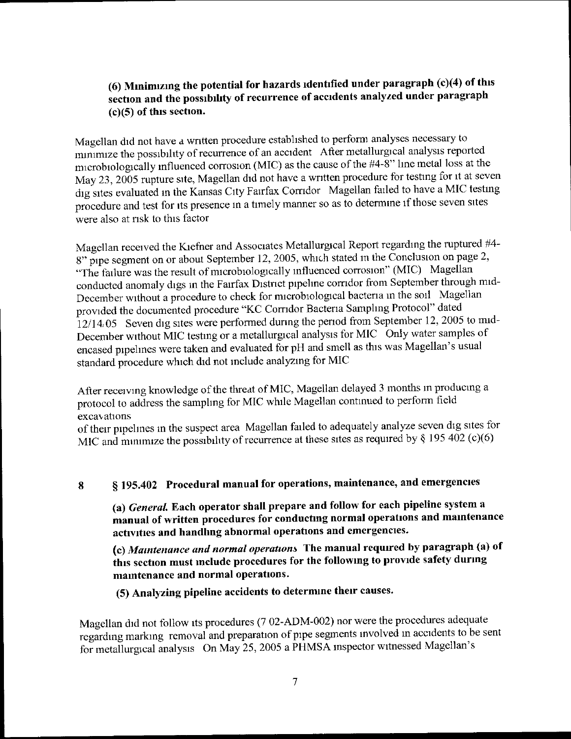# (6) Minimizing the potential for hazards identified under paragraph (c)(4) of this section and the possibihty of recurrence of accidents analyzed under paragraph (c)(5) of this section.

Magellan did not have a wntten procedure established to perform analyses necessary to minimize the possibihty of recurrence of an accident After metallurgical analysis reported microbiologically influenced corrosion (MIC) as the cause of the  $#4-8"$  line metal loss at the May 23, 2005 rupture site, Magellan did not have a wntten procedure for testing for it at seven dig sites evaluated in the Kansas City Fairfax Comdor Magellan failed to have a MIC testing procedure and test for its presence in a timely manner so as to determine if those seven sites were also at nsk to this factor

Magellan received the Kiefner and Associates Metallurgical Report regarding the ruptured #4-8" pipe segment on or about September 12, 2005, which stated m the Conclusion on page 2, "The failure was the result of microbiologically influenced corrosion" (MIC) Magellan conducted anomaly digs in the Fairfax Distnct pipehne comdor from September through mid-December without a procedure to check for microbiological bactena in the soil Magellan provided the documented procedure "KC Comdor Bactena Samphng Protocol" dated  $12/14.05$  Seven dig sites were performed during the period from September 12, 2005 to mid-December without MIC testing or a metallurgical analysis for MIC Only water samples of encased pipehnes were taken and evaluated for pH and smell as this was Magellan's usual standard procedure which did not mclude analyzing for MIC

Afler receiving knowledge of the threat of MIC, Magellan delayed 3 months m producing a protocol to address the sampling for MIC while Magellan continued to perform field excav ations

of their pipelmes in the suspect area Magellan failed to adequately analyze seven dig sites for MIC and minimize the possibility of recurrence at these sites as required by  $\frac{1}{2}$  195 402 (c)(6)

# 8 § 195.402 Procedural manual for operations, maintenance, and emergencies

(a) *General*. Each operator shall prepare and follow for each pipeline system a manual of written procedures for conducting normal operations and maintenance activities and handhng abnormal operations and emergencies.

(c) Maintenance and normal operations The manual required by paragraph (a) of this section must include procedures for the following to provide safety during maintenance and normal operations.

(5) Analyzing pipeline accidents to determine their causes.

Magellan did not follow its procedures (7 02-ADM-002) nor were the procedures adequate regarding marking removal and preparation of pipe segments involved in accidents to be sent for metallurgical analysis On May 25, 2005 a PHMSA mspector witnessed Magellan's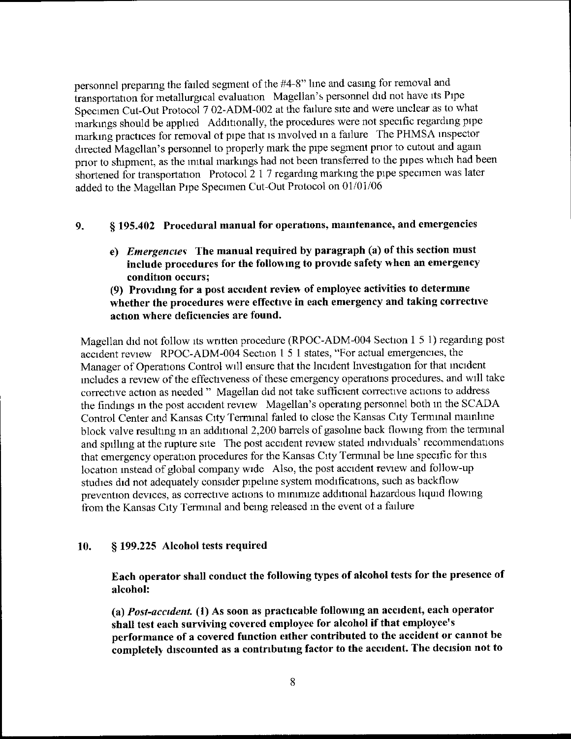personnel preparing the failed segment of the #4-8" line and casing for removal and transportation for metallurgical evaluation Magellan's personnel did not have its Pipe Specimen Cut-Out Protocol 7 02-ADM-002 at the failure site and were unclear as to what markings should be apphed Additionally, the procedures were not specific regarding pipe marking practices for removal ot pipe that is involved in a failure The PHMSA inspector directed Magellan's personnel to properly mark the pipe segment prior to cutout and again prior to shipment, as the mitial markings had not been transferred to the pipes which had been shortened for transportation Protocol 2 1 7 regarding marking the pipe specimen was later added to the Magellan Pipe Specimen Cut-Out Protocol on 01/01/06

## 9. § 195.402 Procedural manual for operations, maintenance, and emergencies

e) Emergencies The manual required by paragraph (a) of this section must include procedures for the following to provide safety when an emergency condition occurs;

### (9) Providing for a post accident review of employee activities to determme whether the procedures were effective in each emergency and taking corrective action where deficiencies are found.

Magellan did not follow its wntten procedure (RPOC-ADM-004 Section I 5 1) regarding post accident review RPOC-ADM-004 Section 1 5 1 states, "For actual emergencies, the Manager of Operations Control will ensure that the Incident Investigation for that incident includes a review of the effectiveness of these emergency operations procedures, and will take corrective action as needed " Magellan did not take sufficient corrective actions to address the findings m the post accident review Magellan's operating personnel both in the SCADA Control Center and Kansas City Terminal failed to close the Kansas City Terminal mainhne block valve resulting in an additional 2,200 barrels of gasoline back flowing from the terminal and spilhng at the rupture site The post accident review stated mdividuals' recommendations that emergency operation procedures for the Kansas City Terminal be hne specific for this location instead of global company wide Also, the post accident review and follow-up studies did not adequately consider pipeline system modifications, such as backflow prevention devices, as corrective actions to minimize additional hazardous hquid flowing from the Kansas City Terminal and being released in the event ot a failure

### 10. § 199.225 Alcohol tests required

Each operator shall conduct the following types of alcohol tests for the presence of alcohol:

(a) Post-accident. (1) As soon as practicable following an accident, each operator shall test each surviving covered employee for alcohol if that employee's performance of a covered function either contributed to the accident or cannot be completely discounted as a contributing factor to the accident. The decision not to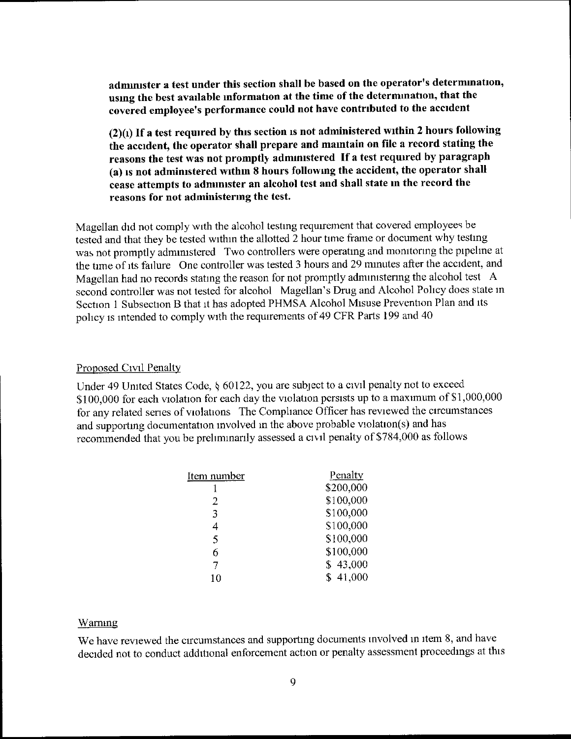adnnnister a test under this section shall be based on the operator's determmation, usmg the best avadable information at the time of the determination, that the covered employee's performance could not have contributed to the accident

 $(2)(i)$  If a test required by this section is not administered within 2 hours following the accident, the operator shall prepare and maintain on file a record stating the reasons the test was not promptly adnunistered If a test required by paragraph (a) is not administered within 8 hours following the accident, the operator shall cease attempts to administer an alcohol test and shall state in the record the reasons for not administering the test.

Magellan did not comply with the alcohol testing requirement that covered employees be tested and that they be tested withm the allotted 2 hour time frame or document why testing was not promptly administered Two controllers were operating and monitonng the pipehne at the time of its failure One controller was tested 3 hours and 29 minutes after the accident, and Magellan had no records stating the reason for not promptly administering the alcohol test A second controller was not tested for alcohol Magellan's Drug and Alcohol Pohcy does state m Section I Subsection B that it has adopted PHMSA Alcohol Misuse Prevention Plan and its pohcy is mtended to comply with the requirements of 49 CFR Parts 199 and 40

#### Proposed Civil Penalty

Under 49 United States Code, § 60122, you are subject to a civil penalty not to exceed \$100,000 for each violation for each day the violation persists up to a maximum of \$1,000,000 for any related series of violations The Compliance Officer has reviewed the circumstances and supporting documentation involved in the above probable violation(s) and has recommended that you be prehminarily assessed a civil penalty of \$784, 000 as follows

| Penalty   |
|-----------|
| \$200,000 |
| \$100,000 |
| \$100,000 |
| \$100,000 |
| \$100,000 |
| \$100,000 |
| \$43,000  |
| \$41,000  |
|           |

#### Warning

We have reviewed the circumstances and supporting documents involved in item 8, and have decided not to conduct additional enforcement action or penalty assessment proceedings at this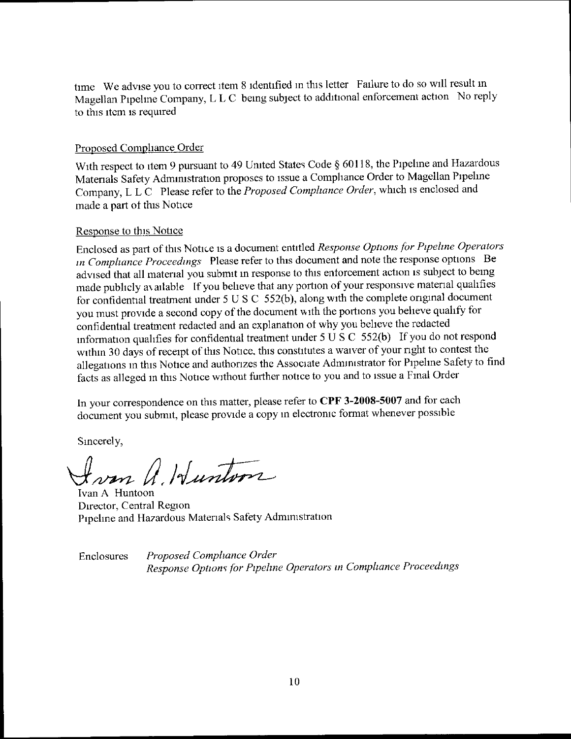time We advise you to correct item 8 identified in this letter Failure to do so will result in Magellan Pipehne Company, L L C being subject to additional enforcement action No reply to this item is required

### Proposed Compliance Order

With respect to item 9 pursuant to 49 United States Code § 60118, the Pipeline and Hazardous Matenals Safety Admuustration proposes to issue a Comphance Order to Magellan Pipehne Company, L L C Please refer to the Proposed Compliance Order, which is enclosed and made a part ot this Notice

### Response to this Notice

Enclosed as part of this Notice is a document entitled Response Options for Pipeline Operators in Compliance Proceedings Please refer to this document and note the response options Be advised that all material you submit in response to this enforcement action is subject to being made pubhcly av ailable lf you beheve that any portion of your responsive material qualifies for confidential lreatment under 5 U S C 552(b), along with the complete original document you must provide a second copy of the document with the portions you believe quahfy for confidential treatment redacted and an explanation of why you beheve the redacted information qualifies for confidential treatment under 5 U S C 552(b) If you do not respond within 30 days of receipt of this Notice, this constitutes a waiver of your right to contest the allegations in this Notice and authonzes the Associate Admmistrator for Pipehne Safety to find facts as alleged m this Notice without further notice to you and to issue a Fmal Order

In your correspondence on this matter, please refer to CPF 3-2008-5007 and for each document you submit, please provide a copy in electromc format whenever possible

Sincerely,

From A. Hunton

Ivan A Huntoon Director, Central Region Pipeline and Hazardous Materials Safety Admmistration

Enclosures Proposed Compliance Order Response Options for Pipeline Operators in Compliance Proceedings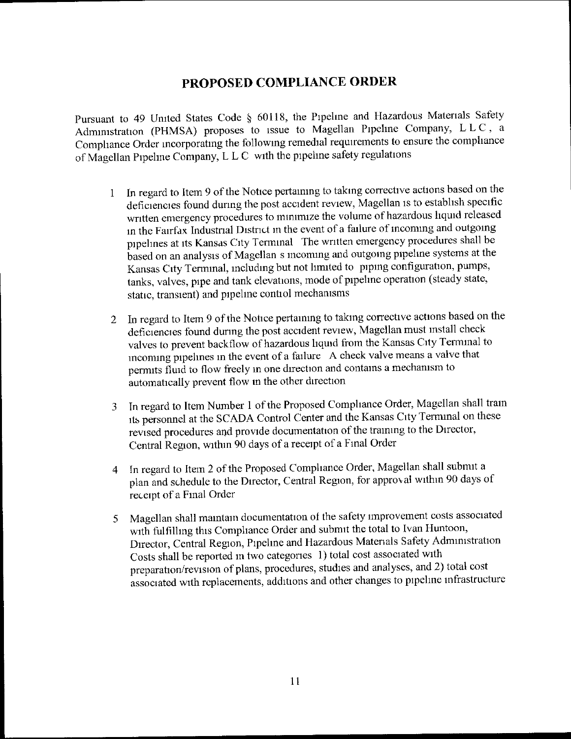# PROPOSED COMPLIANCE ORDER

Pursuant to 49 United States Code § 60118, the Pipeline and Hazardous Materials Safety Admimstration (PHMSA) proposes to issue to Magellan Pipehne Company, L L C, <sup>a</sup> Comphance Order incorporating the following remedial requirements to ensure the comphance of Magellan Pipehne Company, L L C with the pipeline safety regulations

- <sup>1</sup>In regard to Item 9 of the Notice pertainmg to takmg corrective actions based on the deficiencies found dunng the post accident review, Magellan is to estabhsh specific written emergency procedures to mmimize the volume of hazardous hquid released in the Fairfax Industrial District in the event of a failure of incoming and outgoing pipehnes at its Kansas City Terminal The wntten emergency procedures shall be based on an analysis of Magellan s incoming and outgomg pipehne systems at the Kansas City Terminal, including but not hmited to piping configuration, pumps, tanks, valves, pipe and tank elevations, mode of pipehne operation (steady state, static, transient) and pipehne contiol mechamsms
- 2 In regard to Item 9 of the Notice pertaming to takmg corrective actions based on the deficiencies found during the post accident review, Magellan must install check valves to prevent backflow of hazardous liquid from the Kansas City Terminal to mcoming pipehnes in the event of a failure A check valve means a valve that permits fluid to flow freely in one direction and contams a mechanism to automatically prevent flow in the other direction
- 3 In regard to Item Number I of the Proposed Comphance Order, Magellan shall train its personnel at the SCADA Control Center and the Kansas City Terminal on these revised procedures and provide documentation of the traimng to the Director, Central Region, withm 90 days of a receipt of a Final Order
- <sup>4</sup>In regard to Item 2 of the Proposed Compliance Order, Magellan shall submit a plan and schedule to the Director, Central Region, for approval withm 90 days of receipt of a Final Order
- <sup>5</sup>Magellan shall maintam documentation ol the safety improvement costs associated with fultilhng this Comphance Order and submit the total to Ivan Huntoon, Director, Central Region, Pipeline and Hazardous Materials Safety Administration Costs shall be reported m two categories I) total cost associated with preparation/revision of plans, procedures, studies and analyses, and 2) total cost associated with replacements, additions and other changes to pipehne mfrastructure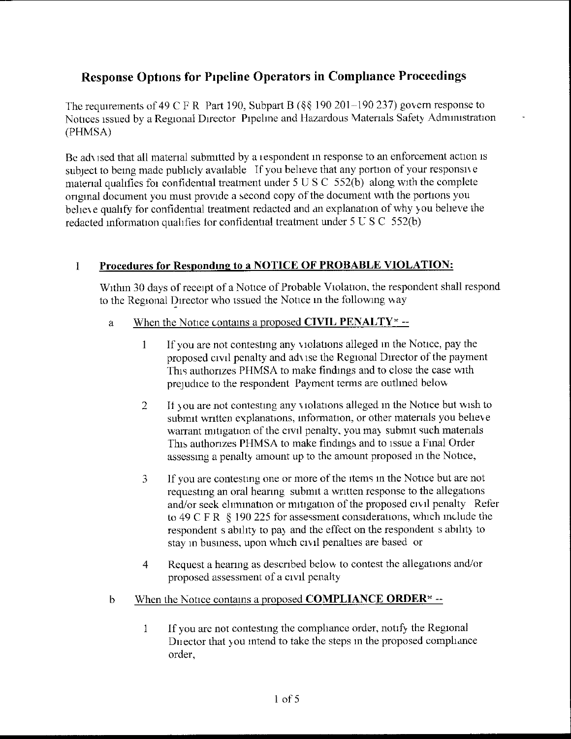# Response Options for Pipeline Operators in Compliance Proceedings

The requirements of 49 C F R Part 190, Subpart B ( $\$  \ 190 201 - 190 237) govern response to Notices issued by a Regional Director Pipeline and Hazardous Matenals Safety Admmistration (PHMSAl

Be adk ised that all material submitted by a iespondent in response to an enforcement action is subject to being made publicly available If you believe that any portion of your responsive material qualifies for confidential treatment under  $5 \text{ U } S \text{ C } 552(b)$  along with the complete onginal document you must provide a second copy of the document wnth the portions you believe qualify for confidential treatment redacted and an explanation of why you beheve the redacted information qualifies for confidential treatment under  $5 \text{ U } S \text{ C } 552(b)$ 

# I Procedures for Responding to a NOTICE OF PROBABLE VIOLATION:

Within 30 days of receipt of a Notice of Probable Violation, the respondent shall respond to the Regional Director who issued the Notice in the following way

- a When the Notice contains a proposed CIVIL PENALTY  $-$ 
	- I If you are not contesting any violations alleged m the Notice, pay the proposed civil penalty and adk ise the Regional Director of the payment This authorizes PHMSA to make findings and to close the case with prejudice to the respondent Payment terms are outlined below
	- $\overline{2}$ II you are not contesting any violations alleged in the Notice but wish to submit written explanations, information, or other materials you believe warrant mitigation of the civil penalty, you may submit such materials This authonzes PHMSA to make findings and to issue a Final Order assessing a penalty amount up to the amount proposed m the Notice,
	- If you are contestmg one or more of the items in the Notice but are not  $\mathcal{L}$ requesting an oral heanng submit a written response to the allegations and/or seek elimination or mitigation of the proposed civil penalty Refer to 49 C F R  $\,$  § 190 225 for assessment considerations, which include the respondent s ability to pay and the effect on the respondent s ability to stay in business, upon which civil penalties are based or
	- 4 Request a hearing as described below to contest the allegations and/or proposed assessment of a civil penalty
- b When the Notice contains a proposed **COMPLIANCE ORDER**<sup> $\star$ </sup> --
	- I If you are not contesting the comphance order, notify the Regional Dn ector that you mtend to take the steps m the proposed compliance order,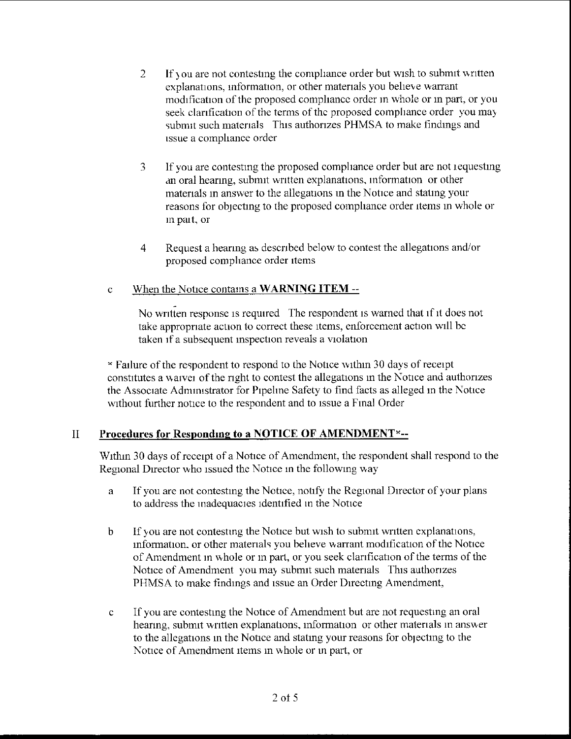- $\overline{2}$ If you are not contesting the compliance order but wish to submit written explanations, information, or other materials you believe warrant modification of the proposed comphancc order m whole or in part, or you seek clarification of the terms of the proposed compliance order you may submit such materials This authorizes PHMSA to make findings and issue a comphance order
- 3 If you are contesting the proposed compliance order but are not requesting an oral hearing, submit written explanations, mformation or other materials in answer to the allegauons in the Notice and stating your reasons for oblecting to the proposed comphance order items in whole or m patt, or
- 4 Request a heaung as descnbed below to contest the allegations and/or proposed comphance order items

# c When the Notice contams a WARNING ITEM

No written response is required The respondent is warned that if it does not take appropnate action to correct these items, enforcement action wall be taken if a subsequent inspection reveals a violation

" Failure of the respondent to respond to the Notice wtthtn 30 days of receipt constitutes a waivei of the nght to contest the allegations in the Notice and authonzes the Associate Admimstrator for Pipelme Safety to find facts as alleged in the Notice without further notice to the respondent and to issue a Final Order

# II Procedures for Responding to a NOTICE OF AMENDMENT<sup>\*</sup>--

Within 30 days of receipt of a Notice of Amendment, the respondent shall respond to the Regional Director who issued the Notice in the following way

- a If you are not contesting the Notice, notify the Regional Director of your plans to address the madequacies identified in the Notice
- b If you are not contestmg the Notice but wish to submit wntten explanations, information, or other matenals you beheve warrant modification of the Notice of Amendment m whole or in part, or you seek clanfication of the terms of the Notice of Amendment you may submit such materials This authorizes PHMSA to make findings and issue an Order Directing Amendment,
- c If you are contesting the Notice of Amendment but are not requestmg an oral hearing, submit written explanations, information or other materials in answer to the allegations in the Notice and stating your reasons for objecting to the Notice of Amendment items in whole or in part, or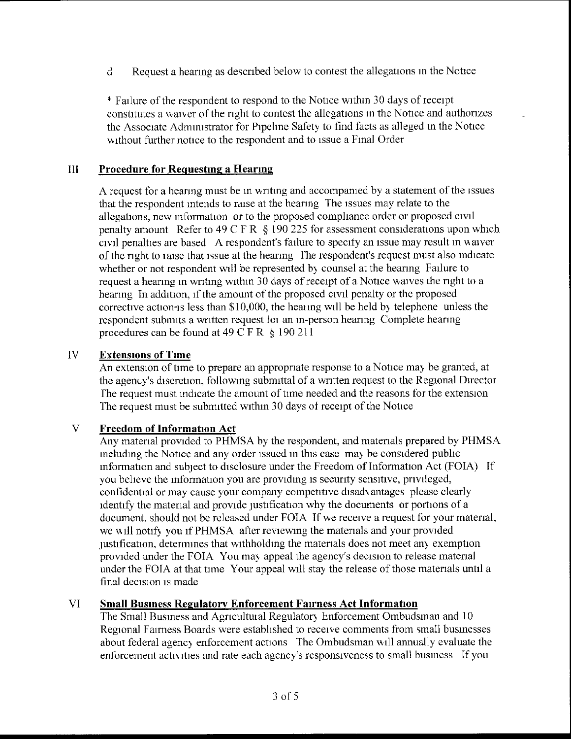d Request a hearing as descnbed below to contest the allegations in the Notice

\* Failure of the respondent to respond to the Notice withm 30 days of receipt constitutes a waiver of the nght to contest the allegations m the Notice and authorizes the Associate Admmistrator for Pipebne Safety to find facts as alleged in the Notice without further notice to the respondent and to issue a Final Order

### III Procedure for Requesting a Hearing

A request for a heanng must be in writmg and accompanied by a statement of the issues that the respondent intends to raise at the heanng The issues may relate to the allegations, new information or to the proposed compliance order or proposed civil penalty amount Refer to 49 C F R  $\hat{\S}$  190 225 for assessment considerations upon which civil penalties are based A respondent's failure to specify an issue may result m waiver of the nght to iaise that issue at the heanng I'he respondent's request must also indicate whether or not respondent will be represented by counsel at the hearing Failure to request a hearing in writing within 30 days of receipt of a Notice waives the right to a hearing In addition, if the amount of the proposed civil penalty or the proposed corrective action-is less than \$10, 000, the heaimg will be held by telephone unless the respondent submits a wntten request toi an m-person heanng Complete heanng procedures can be found at 49 C F R  $\&$  190 211

# IV Extensions of Time

An extension of time to prepare an appropriate response to a Notice may be granted, at the agency's discretion, follounng submittal of a written request to the Regional Director I'he request must indicate the amount of time needed and the reasons for the extension The request must be submitted within 30 days of receipt of the Notice

### V Freedom of Information Act

Any matenal provided to PHMSA by the respondent, and matenals prepared by PHMSA including the Notice and any order issued in this case may be considered pubhc information and subject to disclosure under the Freedom of Information Act (FOIA) If you believe the information you are providing is secunty sensitive, pnvileged, confidential or may cause your company competitive disadvantages please clearly identify the material and provide justification why the documents or portions of a document, should not be released under FOIA If we receive a request for your matenal, we will notify you if PHMSA after reviewing the materials and your provided justification, determines that withholding the materials does not meet any exemption provided under the FOIA You may appeal the agency's decision to release material under the FOIA at that time Your appeal will stay the release of those materials until a final decision is made

### VI Small Business Regulatory Enforcement Fairness Act Information

The Small Business and Agncultuial Regulatory Enforcement Ombudsman and 10 Regional Fairness Boards were estabhshed to receive comments from small businesses about federal agency enforcement actions The Ombudsman will annually evaluate the enforcement acttv ities and rate each agency's responsiveness to small business If you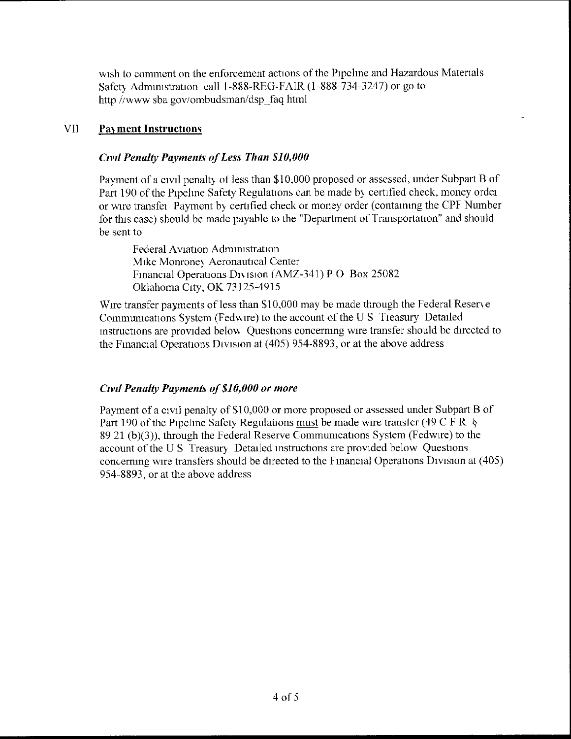wish to comment on the enforcement actions of the Pipchne and Hazardous Materials Safety Administration call 1-888-RFO-FAIR (1-888-734-3247) or go to http //www sba gov/ombudsman/dsp faq html

## VII Payment Instructions

## Civil Penalty Payments of Less Than \$10,000

Payment of a civil penalty of less than \$10,000 proposed or assessed, under Subpart B of Part 190 of the Pipeline Safety Regulations can be made by certified check, money order or wire transfei Payment by certified check or money order (containing the CPF Number for this case) should be made payable to the "Department of Transportation" and should be sent to

Federal Aviation Administration Mike Monroney Aeronautical Center Financial Operations Division (AMZ-341) P O Box 25082 Oklahoma City, OK 73125-4915

Wire transfer payments of less than \$10, 000 may be made through the Federal Reserve Communications System (Fedwire) to the account of the U S Treasury Detailed instructions are provided belov Questions concerning wire transfer should be directed to the Financial Operations Division at (405) 954-8893, or at the above address

## Ctvd Penalty Payments of \$10,000 or more

Payment of a civil penalty of \$10, 000 or more proposed or assessed under Subpart B of Part 190 of the Pipeline Safety Regulations must be made wire transfer (49 C F R  $\&$ 89 21 (b)(3)), through the Federal Reserve Communications System (Fedwire) to the account of the U S Treasury Detailed instructions are provided below Questions concerning wire transfers should be directed to the Financial Operations Division at (405) 954-8893, or at the above address